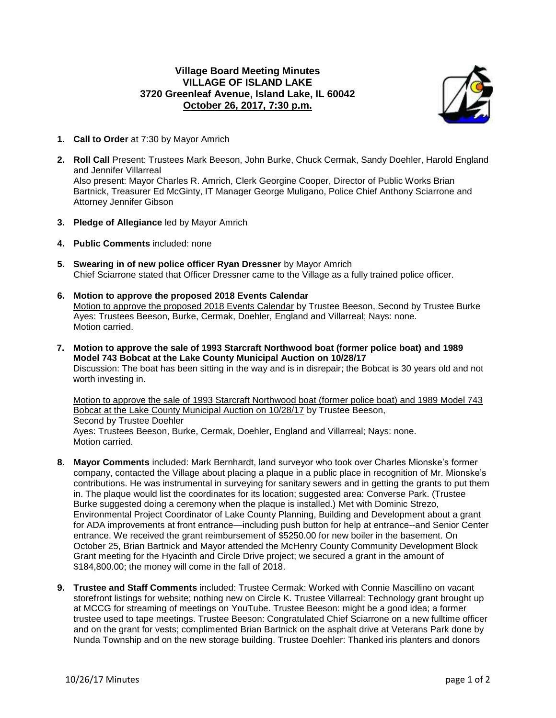## **Village Board Meeting Minutes VILLAGE OF ISLAND LAKE 3720 Greenleaf Avenue, Island Lake, IL 60042 October 26, 2017, 7:30 p.m.**



- **1. Call to Order** at 7:30 by Mayor Amrich
- **2. Roll Call** Present: Trustees Mark Beeson, John Burke, Chuck Cermak, Sandy Doehler, Harold England and Jennifer Villarreal Also present: Mayor Charles R. Amrich, Clerk Georgine Cooper, Director of Public Works Brian Bartnick, Treasurer Ed McGinty, IT Manager George Muligano, Police Chief Anthony Sciarrone and Attorney Jennifer Gibson
- **3. Pledge of Allegiance** led by Mayor Amrich
- **4. Public Comments** included: none
- **5. Swearing in of new police officer Ryan Dressner** by Mayor Amrich Chief Sciarrone stated that Officer Dressner came to the Village as a fully trained police officer.
- **6. Motion to approve the proposed 2018 Events Calendar** Motion to approve the proposed 2018 Events Calendar by Trustee Beeson, Second by Trustee Burke Ayes: Trustees Beeson, Burke, Cermak, Doehler, England and Villarreal; Nays: none. Motion carried.
- **7. Motion to approve the sale of 1993 Starcraft Northwood boat (former police boat) and 1989 Model 743 Bobcat at the Lake County Municipal Auction on 10/28/17** Discussion: The boat has been sitting in the way and is in disrepair; the Bobcat is 30 years old and not worth investing in.

Motion to approve the sale of 1993 Starcraft Northwood boat (former police boat) and 1989 Model 743 Bobcat at the Lake County Municipal Auction on 10/28/17 by Trustee Beeson, Second by Trustee Doehler Ayes: Trustees Beeson, Burke, Cermak, Doehler, England and Villarreal; Nays: none. Motion carried.

- **8. Mayor Comments** included: Mark Bernhardt, land surveyor who took over Charles Mionske's former company, contacted the Village about placing a plaque in a public place in recognition of Mr. Mionske's contributions. He was instrumental in surveying for sanitary sewers and in getting the grants to put them in. The plaque would list the coordinates for its location; suggested area: Converse Park. (Trustee Burke suggested doing a ceremony when the plaque is installed.) Met with Dominic Strezo, Environmental Project Coordinator of Lake County Planning, Building and Development about a grant for ADA improvements at front entrance—including push button for help at entrance--and Senior Center entrance. We received the grant reimbursement of \$5250.00 for new boiler in the basement. On October 25, Brian Bartnick and Mayor attended the McHenry County Community Development Block Grant meeting for the Hyacinth and Circle Drive project; we secured a grant in the amount of \$184,800.00; the money will come in the fall of 2018.
- **9. Trustee and Staff Comments** included: Trustee Cermak: Worked with Connie Mascillino on vacant storefront listings for website; nothing new on Circle K. Trustee Villarreal: Technology grant brought up at MCCG for streaming of meetings on YouTube. Trustee Beeson: might be a good idea; a former trustee used to tape meetings. Trustee Beeson: Congratulated Chief Sciarrone on a new fulltime officer and on the grant for vests; complimented Brian Bartnick on the asphalt drive at Veterans Park done by Nunda Township and on the new storage building. Trustee Doehler: Thanked iris planters and donors